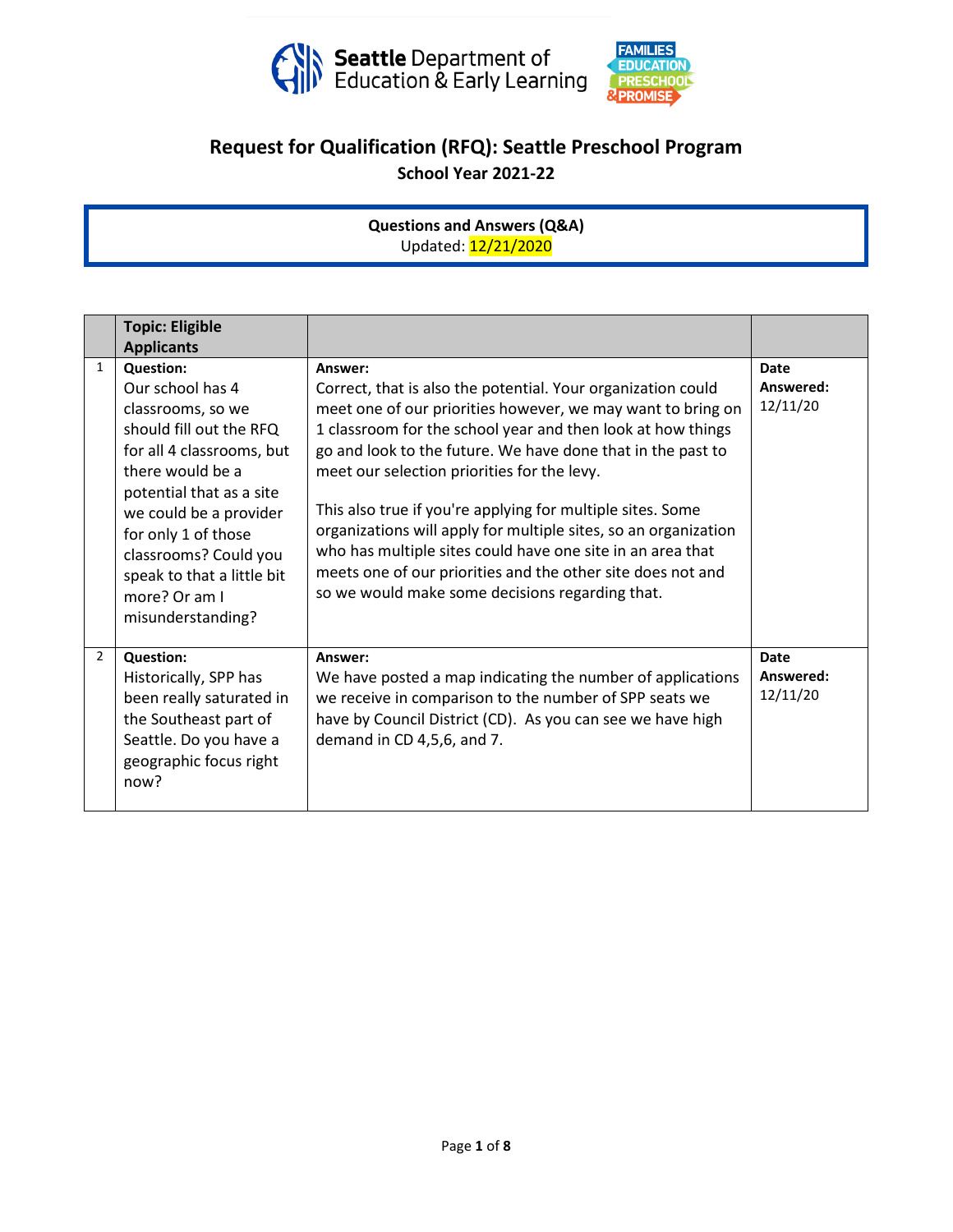

## **Request for Qualification (RFQ): Seattle Preschool Program**

**School Year 2021-22**

**Questions and Answers (Q&A)** Updated: 12/21/2020

|                | <b>Topic: Eligible</b>                                                                                                                                                                                                                                                                                          |                                                                                                                                                                                                                                                                                                                                                                                                                                                                                                                                                                                                                                      |                                      |
|----------------|-----------------------------------------------------------------------------------------------------------------------------------------------------------------------------------------------------------------------------------------------------------------------------------------------------------------|--------------------------------------------------------------------------------------------------------------------------------------------------------------------------------------------------------------------------------------------------------------------------------------------------------------------------------------------------------------------------------------------------------------------------------------------------------------------------------------------------------------------------------------------------------------------------------------------------------------------------------------|--------------------------------------|
|                | <b>Applicants</b>                                                                                                                                                                                                                                                                                               |                                                                                                                                                                                                                                                                                                                                                                                                                                                                                                                                                                                                                                      |                                      |
| $\mathbf{1}$   | <b>Question:</b><br>Our school has 4<br>classrooms, so we<br>should fill out the RFQ<br>for all 4 classrooms, but<br>there would be a<br>potential that as a site<br>we could be a provider<br>for only 1 of those<br>classrooms? Could you<br>speak to that a little bit<br>more? Or am I<br>misunderstanding? | Answer:<br>Correct, that is also the potential. Your organization could<br>meet one of our priorities however, we may want to bring on<br>1 classroom for the school year and then look at how things<br>go and look to the future. We have done that in the past to<br>meet our selection priorities for the levy.<br>This also true if you're applying for multiple sites. Some<br>organizations will apply for multiple sites, so an organization<br>who has multiple sites could have one site in an area that<br>meets one of our priorities and the other site does not and<br>so we would make some decisions regarding that. | <b>Date</b><br>Answered:<br>12/11/20 |
| $\overline{2}$ | <b>Question:</b><br>Historically, SPP has<br>been really saturated in<br>the Southeast part of<br>Seattle. Do you have a<br>geographic focus right<br>now?                                                                                                                                                      | Answer:<br>We have posted a map indicating the number of applications<br>we receive in comparison to the number of SPP seats we<br>have by Council District (CD). As you can see we have high<br>demand in CD 4,5,6, and 7.                                                                                                                                                                                                                                                                                                                                                                                                          | <b>Date</b><br>Answered:<br>12/11/20 |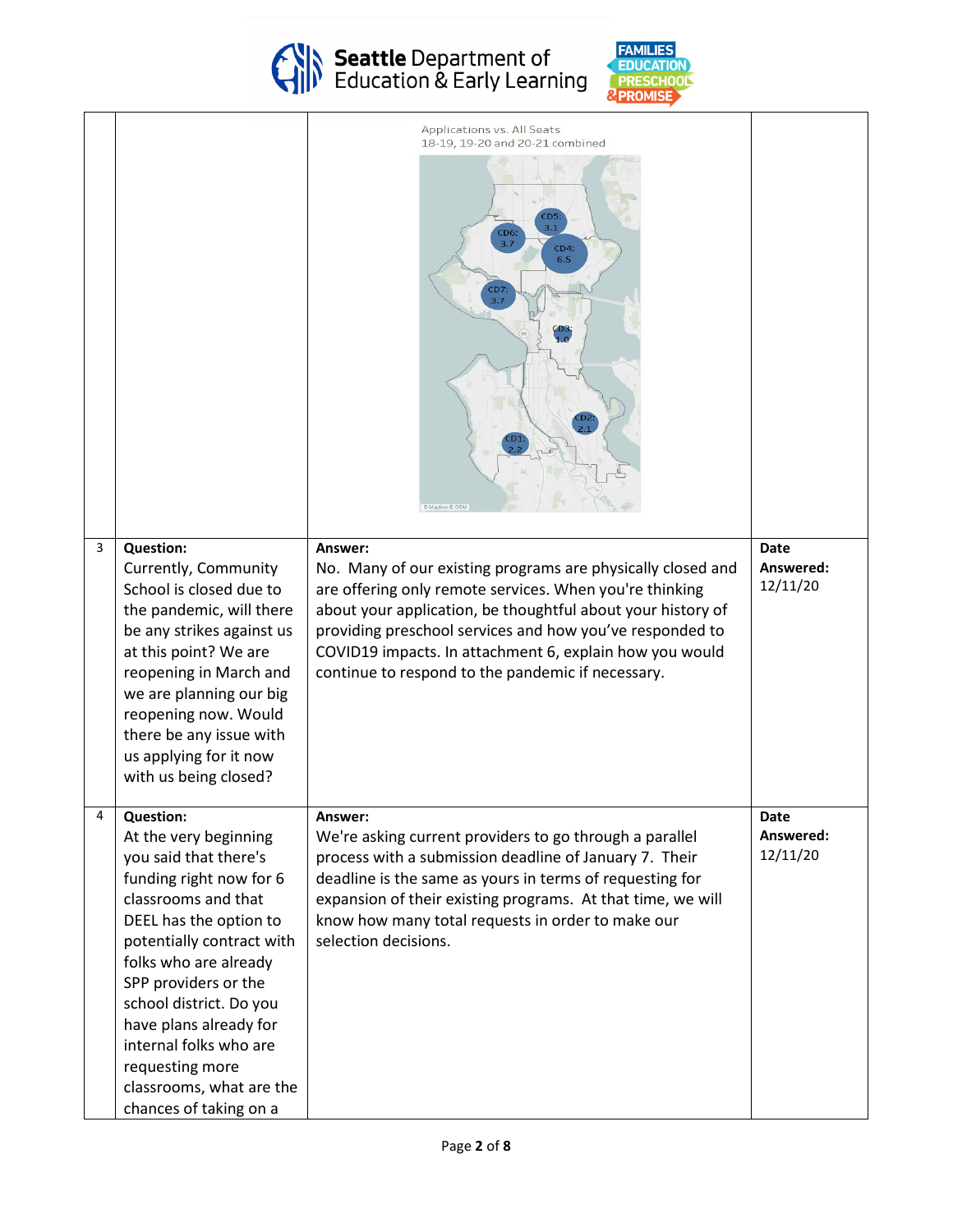

Seattle Department of<br>Education & Early Learning



|   |                                                                                                                                                                                                                                                                                                                                                                                      | Applications vs. All Seats<br>18-19, 19-20 and 20-21 combined<br>LD5<br>3.1<br><b>CD6:</b><br>3.7<br>CD4:<br>6.5                                                                                                                                                                                                                                                             |                               |
|---|--------------------------------------------------------------------------------------------------------------------------------------------------------------------------------------------------------------------------------------------------------------------------------------------------------------------------------------------------------------------------------------|------------------------------------------------------------------------------------------------------------------------------------------------------------------------------------------------------------------------------------------------------------------------------------------------------------------------------------------------------------------------------|-------------------------------|
| 3 | <b>Question:</b><br>Currently, Community<br>School is closed due to<br>the pandemic, will there<br>be any strikes against us<br>at this point? We are<br>reopening in March and<br>we are planning our big<br>reopening now. Would<br>there be any issue with<br>us applying for it now<br>with us being closed?                                                                     | Answer:<br>No. Many of our existing programs are physically closed and<br>are offering only remote services. When you're thinking<br>about your application, be thoughtful about your history of<br>providing preschool services and how you've responded to<br>COVID19 impacts. In attachment 6, explain how you would<br>continue to respond to the pandemic if necessary. | Date<br>Answered:<br>12/11/20 |
| 4 | <b>Question:</b><br>At the very beginning<br>you said that there's<br>funding right now for 6<br>classrooms and that<br>DEEL has the option to<br>potentially contract with<br>folks who are already<br>SPP providers or the<br>school district. Do you<br>have plans already for<br>internal folks who are<br>requesting more<br>classrooms, what are the<br>chances of taking on a | Answer:<br>We're asking current providers to go through a parallel<br>process with a submission deadline of January 7. Their<br>deadline is the same as yours in terms of requesting for<br>expansion of their existing programs. At that time, we will<br>know how many total requests in order to make our<br>selection decisions.                                         | Date<br>Answered:<br>12/11/20 |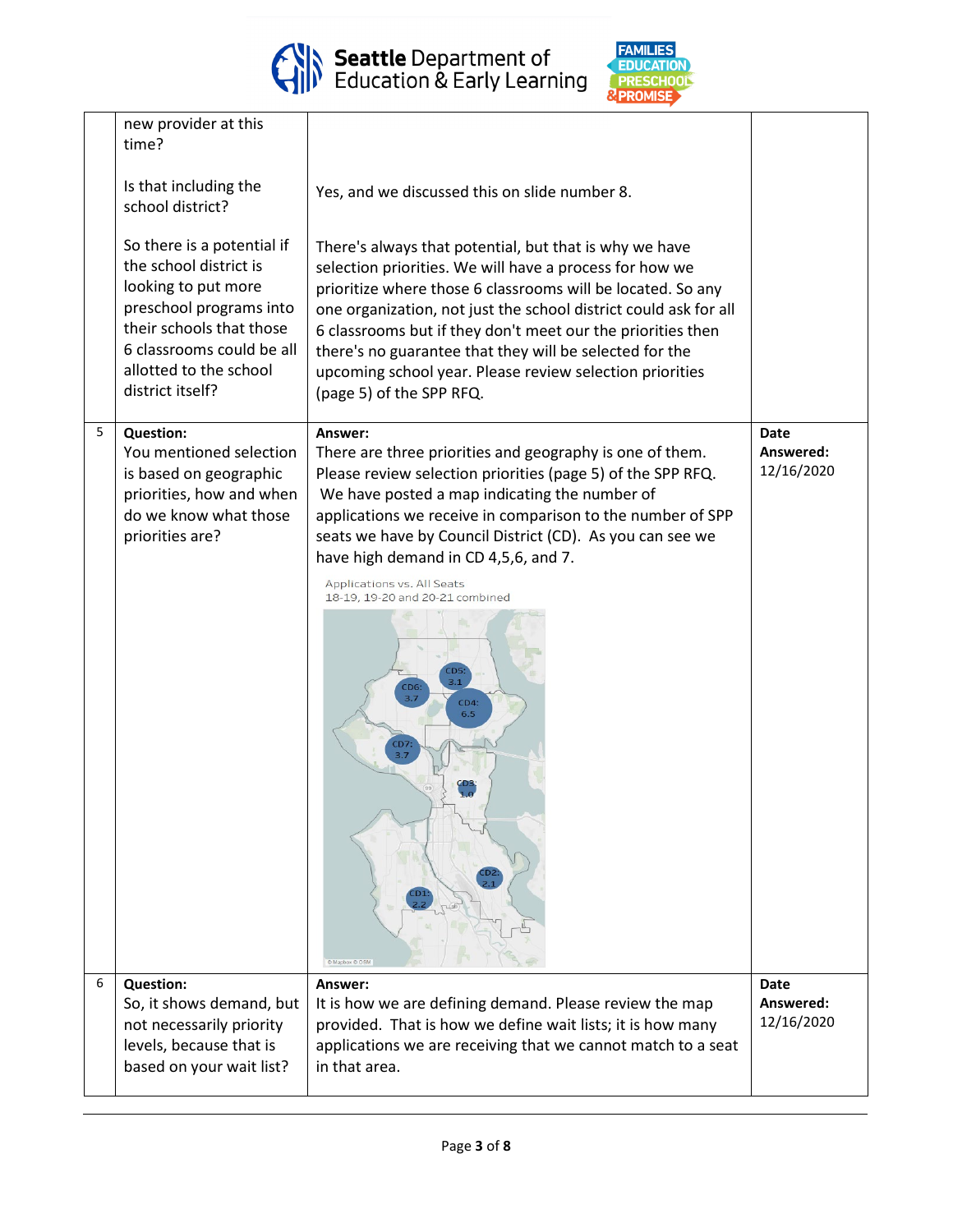

Seattle Department of<br>Education & Early Learning



|   | new provider at this<br>time?<br>Is that including the<br>school district?<br>So there is a potential if<br>the school district is<br>looking to put more<br>preschool programs into<br>their schools that those<br>6 classrooms could be all<br>allotted to the school<br>district itself? | Yes, and we discussed this on slide number 8.<br>There's always that potential, but that is why we have<br>selection priorities. We will have a process for how we<br>prioritize where those 6 classrooms will be located. So any<br>one organization, not just the school district could ask for all<br>6 classrooms but if they don't meet our the priorities then<br>there's no guarantee that they will be selected for the<br>upcoming school year. Please review selection priorities<br>(page 5) of the SPP RFQ. |                                        |
|---|---------------------------------------------------------------------------------------------------------------------------------------------------------------------------------------------------------------------------------------------------------------------------------------------|-------------------------------------------------------------------------------------------------------------------------------------------------------------------------------------------------------------------------------------------------------------------------------------------------------------------------------------------------------------------------------------------------------------------------------------------------------------------------------------------------------------------------|----------------------------------------|
| 5 | <b>Question:</b><br>You mentioned selection<br>is based on geographic<br>priorities, how and when<br>do we know what those<br>priorities are?                                                                                                                                               | Answer:<br>There are three priorities and geography is one of them.<br>Please review selection priorities (page 5) of the SPP RFQ.<br>We have posted a map indicating the number of<br>applications we receive in comparison to the number of SPP<br>seats we have by Council District (CD). As you can see we<br>have high demand in CD 4,5,6, and 7.<br>Applications vs. All Seats<br>18-19, 19-20 and 20-21 combined<br>CD5<br>3.1<br>CD <sub>6</sub><br>37<br>CD4:<br>6.5<br>3.7<br>@ Mapbox @ OS                   | Date<br>Answered:<br>12/16/2020        |
| 6 | <b>Question:</b><br>So, it shows demand, but<br>not necessarily priority<br>levels, because that is<br>based on your wait list?                                                                                                                                                             | Answer:<br>It is how we are defining demand. Please review the map<br>provided. That is how we define wait lists; it is how many<br>applications we are receiving that we cannot match to a seat<br>in that area.                                                                                                                                                                                                                                                                                                       | <b>Date</b><br>Answered:<br>12/16/2020 |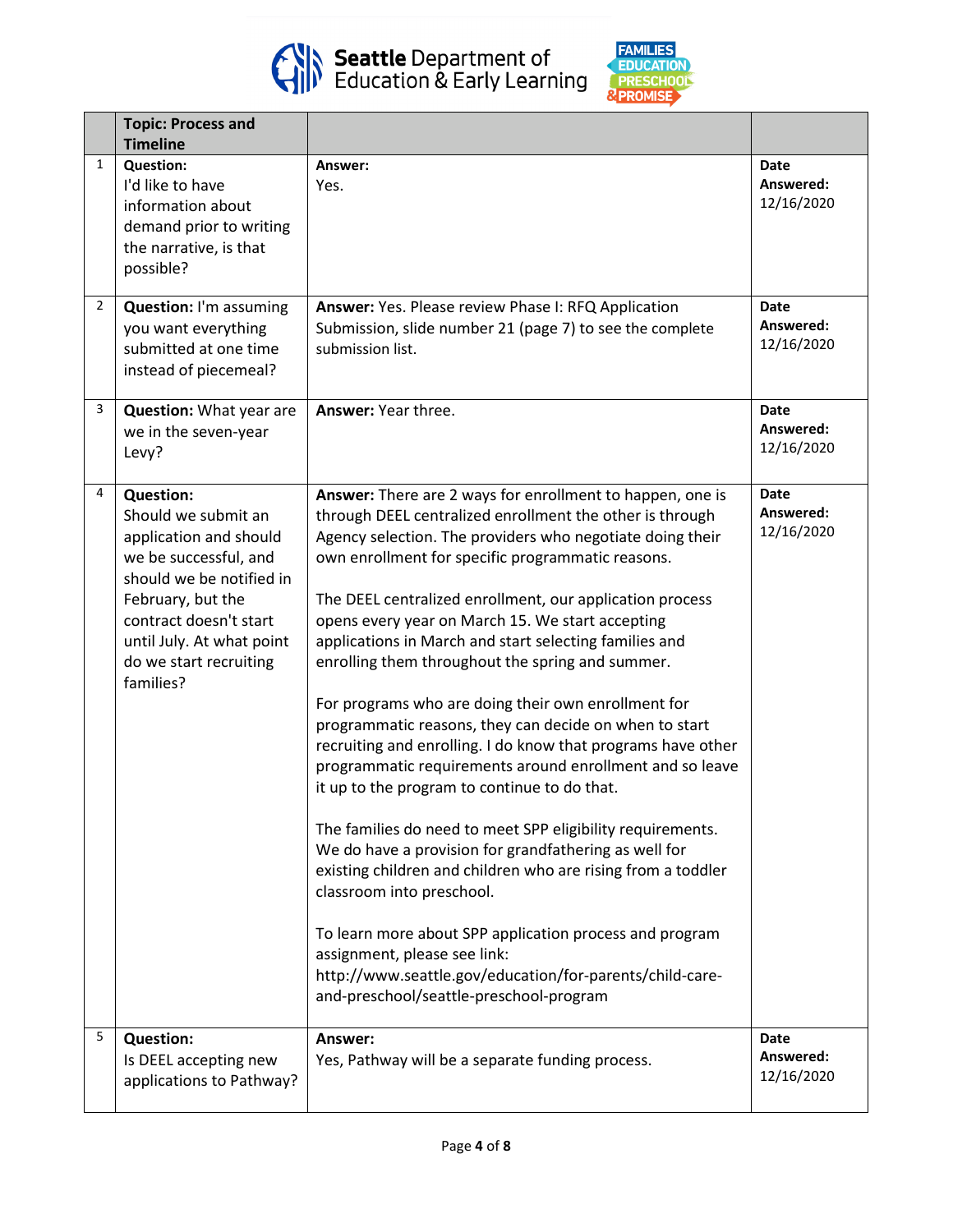



|                | <b>Topic: Process and</b><br><b>Timeline</b>                                                                                                                                                                                              |                                                                                                                                                                                                                                                                                                                                                                                                                                                                                                                                                                                                                                                                                                                                                                                                                                                                                                                                                                                                                                                                                                                                                                                          |                                        |
|----------------|-------------------------------------------------------------------------------------------------------------------------------------------------------------------------------------------------------------------------------------------|------------------------------------------------------------------------------------------------------------------------------------------------------------------------------------------------------------------------------------------------------------------------------------------------------------------------------------------------------------------------------------------------------------------------------------------------------------------------------------------------------------------------------------------------------------------------------------------------------------------------------------------------------------------------------------------------------------------------------------------------------------------------------------------------------------------------------------------------------------------------------------------------------------------------------------------------------------------------------------------------------------------------------------------------------------------------------------------------------------------------------------------------------------------------------------------|----------------------------------------|
| $\mathbf{1}$   | <b>Question:</b><br>I'd like to have<br>information about<br>demand prior to writing<br>the narrative, is that<br>possible?                                                                                                               | Answer:<br>Yes.                                                                                                                                                                                                                                                                                                                                                                                                                                                                                                                                                                                                                                                                                                                                                                                                                                                                                                                                                                                                                                                                                                                                                                          | <b>Date</b><br>Answered:<br>12/16/2020 |
| $\overline{2}$ | <b>Question: I'm assuming</b><br>you want everything<br>submitted at one time<br>instead of piecemeal?                                                                                                                                    | Answer: Yes. Please review Phase I: RFQ Application<br>Submission, slide number 21 (page 7) to see the complete<br>submission list.                                                                                                                                                                                                                                                                                                                                                                                                                                                                                                                                                                                                                                                                                                                                                                                                                                                                                                                                                                                                                                                      | <b>Date</b><br>Answered:<br>12/16/2020 |
| 3              | <b>Question:</b> What year are<br>we in the seven-year<br>Levy?                                                                                                                                                                           | Answer: Year three.                                                                                                                                                                                                                                                                                                                                                                                                                                                                                                                                                                                                                                                                                                                                                                                                                                                                                                                                                                                                                                                                                                                                                                      | <b>Date</b><br>Answered:<br>12/16/2020 |
| 4              | <b>Question:</b><br>Should we submit an<br>application and should<br>we be successful, and<br>should we be notified in<br>February, but the<br>contract doesn't start<br>until July. At what point<br>do we start recruiting<br>families? | Answer: There are 2 ways for enrollment to happen, one is<br>through DEEL centralized enrollment the other is through<br>Agency selection. The providers who negotiate doing their<br>own enrollment for specific programmatic reasons.<br>The DEEL centralized enrollment, our application process<br>opens every year on March 15. We start accepting<br>applications in March and start selecting families and<br>enrolling them throughout the spring and summer.<br>For programs who are doing their own enrollment for<br>programmatic reasons, they can decide on when to start<br>recruiting and enrolling. I do know that programs have other<br>programmatic requirements around enrollment and so leave<br>it up to the program to continue to do that.<br>The families do need to meet SPP eligibility requirements.<br>We do have a provision for grandfathering as well for<br>existing children and children who are rising from a toddler<br>classroom into preschool.<br>To learn more about SPP application process and program<br>assignment, please see link:<br>http://www.seattle.gov/education/for-parents/child-care-<br>and-preschool/seattle-preschool-program | <b>Date</b><br>Answered:<br>12/16/2020 |
| 5              | <b>Question:</b><br>Is DEEL accepting new<br>applications to Pathway?                                                                                                                                                                     | Answer:<br>Yes, Pathway will be a separate funding process.                                                                                                                                                                                                                                                                                                                                                                                                                                                                                                                                                                                                                                                                                                                                                                                                                                                                                                                                                                                                                                                                                                                              | Date<br>Answered:<br>12/16/2020        |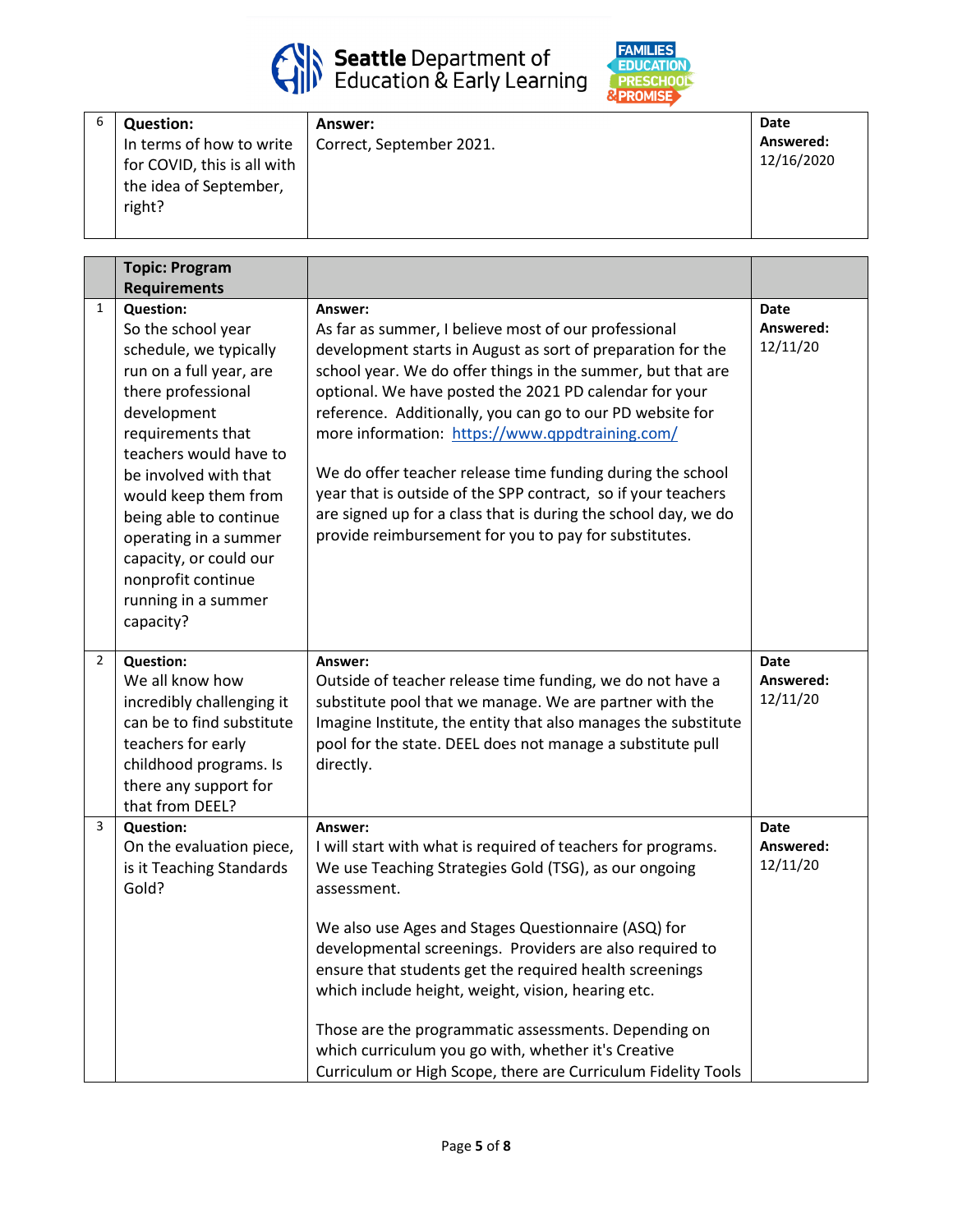



| <b>Question:</b>                                        | Answer:                  | Date                    |
|---------------------------------------------------------|--------------------------|-------------------------|
| In terms of how to write<br>for COVID, this is all with | Correct, September 2021. | Answered:<br>12/16/2020 |
| the idea of September,<br>right?                        |                          |                         |

|                | <b>Topic: Program</b><br><b>Requirements</b>                                                                                                                                                                                                                                                                                                                            |                                                                                                                                                                                                                                                                                                                                                                                                                                                                                                                                                                                                                                   |                                      |
|----------------|-------------------------------------------------------------------------------------------------------------------------------------------------------------------------------------------------------------------------------------------------------------------------------------------------------------------------------------------------------------------------|-----------------------------------------------------------------------------------------------------------------------------------------------------------------------------------------------------------------------------------------------------------------------------------------------------------------------------------------------------------------------------------------------------------------------------------------------------------------------------------------------------------------------------------------------------------------------------------------------------------------------------------|--------------------------------------|
| 1              | <b>Question:</b><br>So the school year<br>schedule, we typically<br>run on a full year, are<br>there professional<br>development<br>requirements that<br>teachers would have to<br>be involved with that<br>would keep them from<br>being able to continue<br>operating in a summer<br>capacity, or could our<br>nonprofit continue<br>running in a summer<br>capacity? | Answer:<br>As far as summer, I believe most of our professional<br>development starts in August as sort of preparation for the<br>school year. We do offer things in the summer, but that are<br>optional. We have posted the 2021 PD calendar for your<br>reference. Additionally, you can go to our PD website for<br>more information: https://www.qppdtraining.com/<br>We do offer teacher release time funding during the school<br>year that is outside of the SPP contract, so if your teachers<br>are signed up for a class that is during the school day, we do<br>provide reimbursement for you to pay for substitutes. | Date<br>Answered:<br>12/11/20        |
| $\overline{2}$ | <b>Question:</b><br>We all know how<br>incredibly challenging it<br>can be to find substitute<br>teachers for early<br>childhood programs. Is<br>there any support for<br>that from DEEL?                                                                                                                                                                               | Answer:<br>Outside of teacher release time funding, we do not have a<br>substitute pool that we manage. We are partner with the<br>Imagine Institute, the entity that also manages the substitute<br>pool for the state. DEEL does not manage a substitute pull<br>directly.                                                                                                                                                                                                                                                                                                                                                      | <b>Date</b><br>Answered:<br>12/11/20 |
| 3              | <b>Question:</b><br>On the evaluation piece,<br>is it Teaching Standards<br>Gold?                                                                                                                                                                                                                                                                                       | Answer:<br>I will start with what is required of teachers for programs.<br>We use Teaching Strategies Gold (TSG), as our ongoing<br>assessment.<br>We also use Ages and Stages Questionnaire (ASQ) for<br>developmental screenings. Providers are also required to<br>ensure that students get the required health screenings<br>which include height, weight, vision, hearing etc.<br>Those are the programmatic assessments. Depending on<br>which curriculum you go with, whether it's Creative<br>Curriculum or High Scope, there are Curriculum Fidelity Tools                                                               | <b>Date</b><br>Answered:<br>12/11/20 |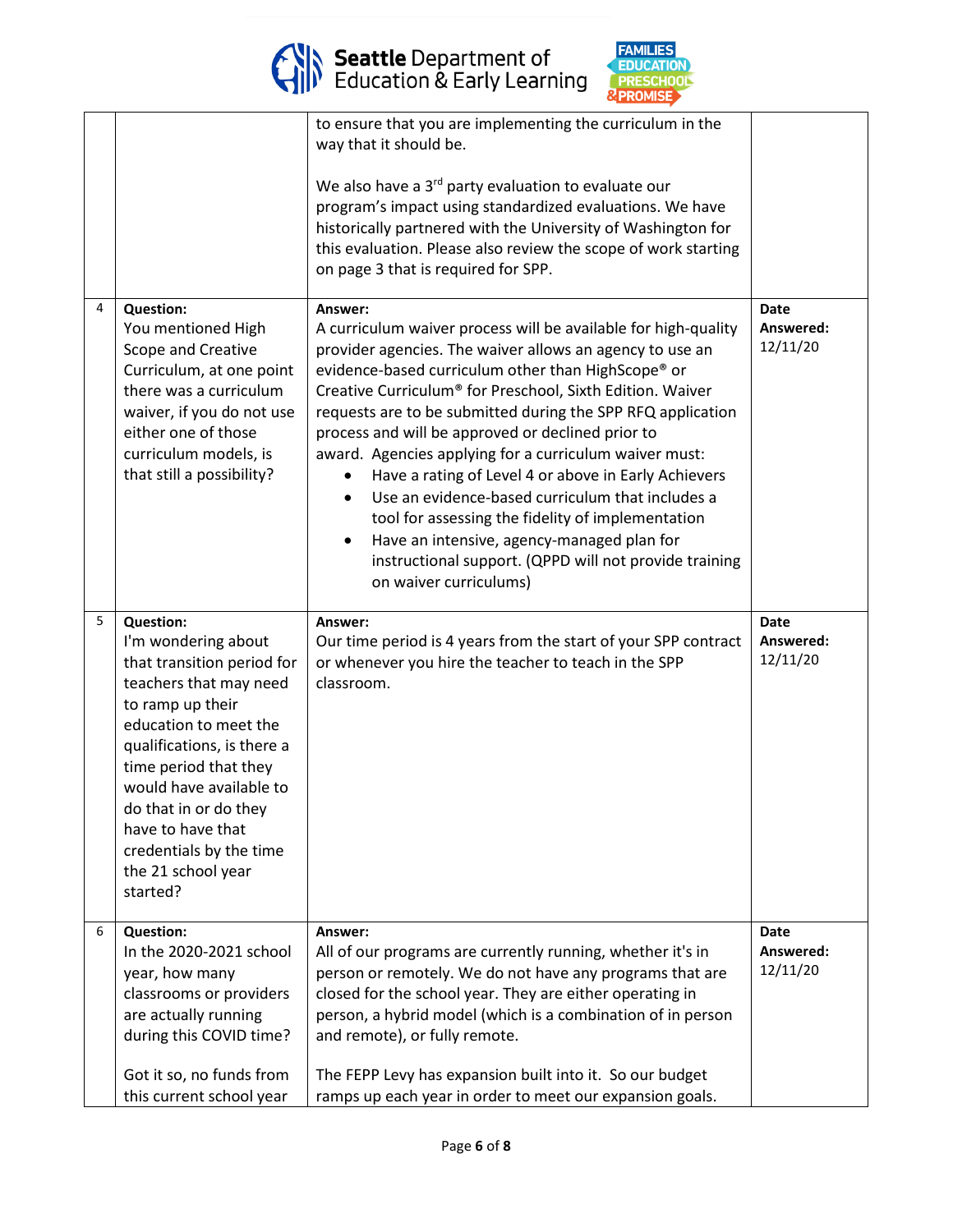



|   |                                                                                                                                                                                                                                                                                                                                           | to ensure that you are implementing the curriculum in the<br>way that it should be.<br>We also have a 3 <sup>rd</sup> party evaluation to evaluate our<br>program's impact using standardized evaluations. We have<br>historically partnered with the University of Washington for<br>this evaluation. Please also review the scope of work starting<br>on page 3 that is required for SPP.                                                                                                                                                                                                                                                                                                                                                                 |                                      |
|---|-------------------------------------------------------------------------------------------------------------------------------------------------------------------------------------------------------------------------------------------------------------------------------------------------------------------------------------------|-------------------------------------------------------------------------------------------------------------------------------------------------------------------------------------------------------------------------------------------------------------------------------------------------------------------------------------------------------------------------------------------------------------------------------------------------------------------------------------------------------------------------------------------------------------------------------------------------------------------------------------------------------------------------------------------------------------------------------------------------------------|--------------------------------------|
| 4 | <b>Question:</b><br>You mentioned High<br>Scope and Creative<br>Curriculum, at one point<br>there was a curriculum<br>waiver, if you do not use<br>either one of those<br>curriculum models, is<br>that still a possibility?                                                                                                              | Answer:<br>A curriculum waiver process will be available for high-quality<br>provider agencies. The waiver allows an agency to use an<br>evidence-based curriculum other than HighScope® or<br>Creative Curriculum® for Preschool, Sixth Edition. Waiver<br>requests are to be submitted during the SPP RFQ application<br>process and will be approved or declined prior to<br>award. Agencies applying for a curriculum waiver must:<br>Have a rating of Level 4 or above in Early Achievers<br>Use an evidence-based curriculum that includes a<br>$\bullet$<br>tool for assessing the fidelity of implementation<br>Have an intensive, agency-managed plan for<br>٠<br>instructional support. (QPPD will not provide training<br>on waiver curriculums) | <b>Date</b><br>Answered:<br>12/11/20 |
| 5 | <b>Question:</b><br>I'm wondering about<br>that transition period for<br>teachers that may need<br>to ramp up their<br>education to meet the<br>qualifications, is there a<br>time period that they<br>would have available to<br>do that in or do they<br>have to have that<br>credentials by the time<br>the 21 school year<br>started? | Answer:<br>Our time period is 4 years from the start of your SPP contract<br>or whenever you hire the teacher to teach in the SPP<br>classroom.                                                                                                                                                                                                                                                                                                                                                                                                                                                                                                                                                                                                             | <b>Date</b><br>Answered:<br>12/11/20 |
| 6 | <b>Question:</b><br>In the 2020-2021 school<br>year, how many<br>classrooms or providers<br>are actually running<br>during this COVID time?<br>Got it so, no funds from<br>this current school year                                                                                                                                       | Answer:<br>All of our programs are currently running, whether it's in<br>person or remotely. We do not have any programs that are<br>closed for the school year. They are either operating in<br>person, a hybrid model (which is a combination of in person<br>and remote), or fully remote.<br>The FEPP Levy has expansion built into it. So our budget<br>ramps up each year in order to meet our expansion goals.                                                                                                                                                                                                                                                                                                                                       | Date<br>Answered:<br>12/11/20        |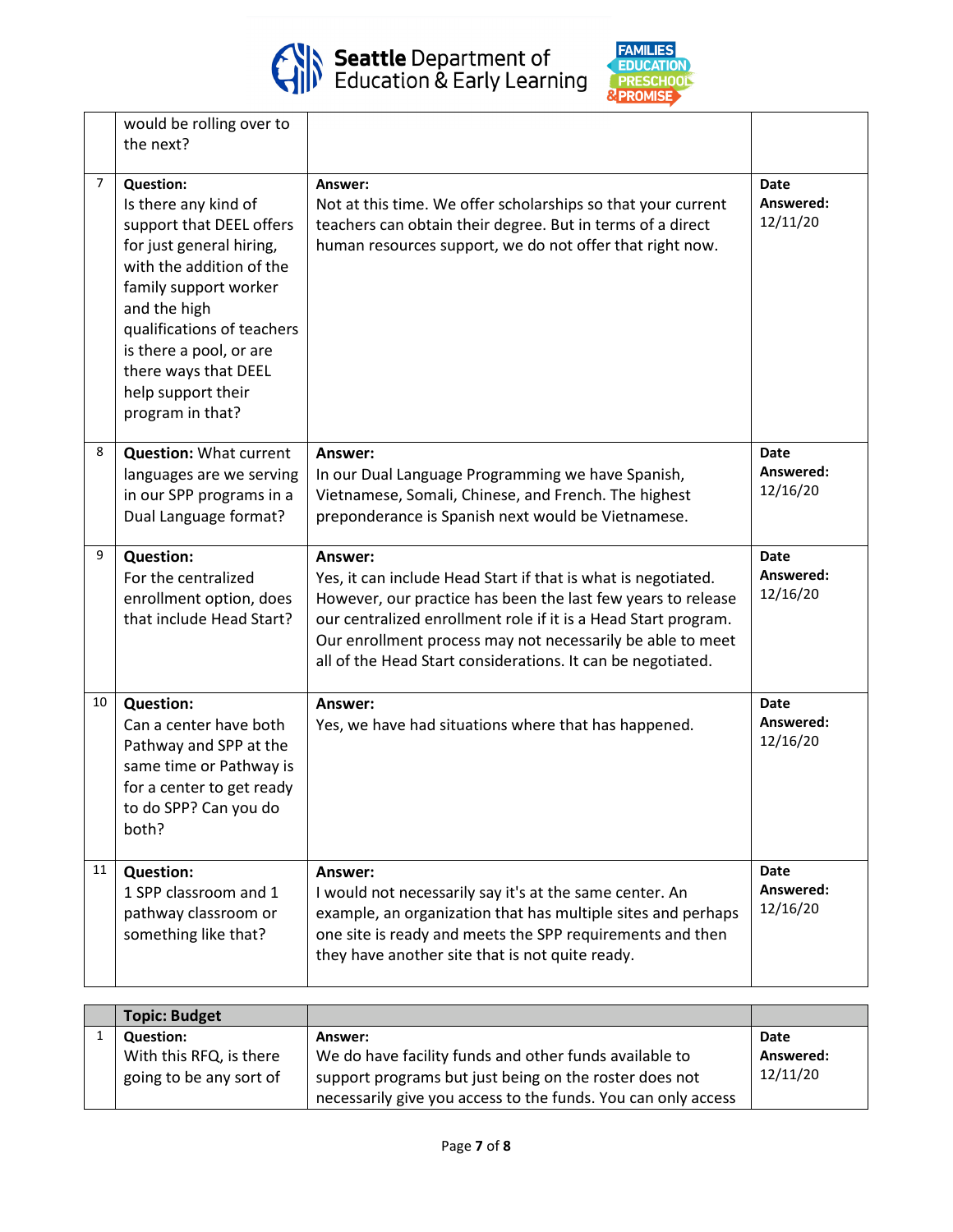

ı



|                | would be rolling over to<br>the next?                                                                                                                                                                                                                                                            |                                                                                                                                                                                                                                                                                                                                         |                                      |
|----------------|--------------------------------------------------------------------------------------------------------------------------------------------------------------------------------------------------------------------------------------------------------------------------------------------------|-----------------------------------------------------------------------------------------------------------------------------------------------------------------------------------------------------------------------------------------------------------------------------------------------------------------------------------------|--------------------------------------|
| $\overline{7}$ | <b>Question:</b><br>Is there any kind of<br>support that DEEL offers<br>for just general hiring,<br>with the addition of the<br>family support worker<br>and the high<br>qualifications of teachers<br>is there a pool, or are<br>there ways that DEEL<br>help support their<br>program in that? | Answer:<br>Not at this time. We offer scholarships so that your current<br>teachers can obtain their degree. But in terms of a direct<br>human resources support, we do not offer that right now.                                                                                                                                       | <b>Date</b><br>Answered:<br>12/11/20 |
| 8              | <b>Question: What current</b><br>languages are we serving<br>in our SPP programs in a<br>Dual Language format?                                                                                                                                                                                   | Answer:<br>In our Dual Language Programming we have Spanish,<br>Vietnamese, Somali, Chinese, and French. The highest<br>preponderance is Spanish next would be Vietnamese.                                                                                                                                                              | <b>Date</b><br>Answered:<br>12/16/20 |
| 9              | <b>Question:</b><br>For the centralized<br>enrollment option, does<br>that include Head Start?                                                                                                                                                                                                   | Answer:<br>Yes, it can include Head Start if that is what is negotiated.<br>However, our practice has been the last few years to release<br>our centralized enrollment role if it is a Head Start program.<br>Our enrollment process may not necessarily be able to meet<br>all of the Head Start considerations. It can be negotiated. | <b>Date</b><br>Answered:<br>12/16/20 |
| 10             | <b>Question:</b><br>Can a center have both<br>Pathway and SPP at the<br>same time or Pathway is<br>for a center to get ready<br>to do SPP? Can you do<br>both?                                                                                                                                   | Answer:<br>Yes, we have had situations where that has happened.                                                                                                                                                                                                                                                                         | Date<br>Answered:<br>12/16/20        |
| 11             | <b>Question:</b><br>1 SPP classroom and 1<br>pathway classroom or<br>something like that?                                                                                                                                                                                                        | Answer:<br>I would not necessarily say it's at the same center. An<br>example, an organization that has multiple sites and perhaps<br>one site is ready and meets the SPP requirements and then<br>they have another site that is not quite ready.                                                                                      | Date<br>Answered:<br>12/16/20        |

| <b>Topic: Budget</b>    |                                                               |           |
|-------------------------|---------------------------------------------------------------|-----------|
| <b>Question:</b>        | Answer:                                                       | Date      |
| With this RFQ, is there | We do have facility funds and other funds available to        | Answered: |
| going to be any sort of | support programs but just being on the roster does not        | 12/11/20  |
|                         | necessarily give you access to the funds. You can only access |           |